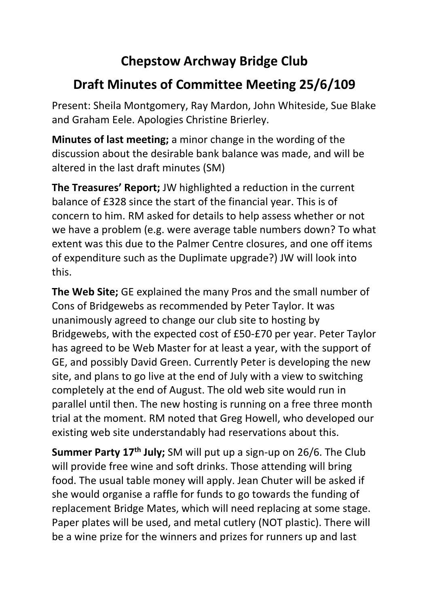## **Chepstow Archway Bridge Club**

## **Draft Minutes of Committee Meeting 25/6/109**

Present: Sheila Montgomery, Ray Mardon, John Whiteside, Sue Blake and Graham Eele. Apologies Christine Brierley.

**Minutes of last meeting;** a minor change in the wording of the discussion about the desirable bank balance was made, and will be altered in the last draft minutes (SM)

**The Treasures' Report;** JW highlighted a reduction in the current balance of £328 since the start of the financial year. This is of concern to him. RM asked for details to help assess whether or not we have a problem (e.g. were average table numbers down? To what extent was this due to the Palmer Centre closures, and one off items of expenditure such as the Duplimate upgrade?) JW will look into this.

**The Web Site;** GE explained the many Pros and the small number of Cons of Bridgewebs as recommended by Peter Taylor. It was unanimously agreed to change our club site to hosting by Bridgewebs, with the expected cost of £50-£70 per year. Peter Taylor has agreed to be Web Master for at least a year, with the support of GE, and possibly David Green. Currently Peter is developing the new site, and plans to go live at the end of July with a view to switching completely at the end of August. The old web site would run in parallel until then. The new hosting is running on a free three month trial at the moment. RM noted that Greg Howell, who developed our existing web site understandably had reservations about this.

**Summer Party 17th July;** SM will put up a sign-up on 26/6. The Club will provide free wine and soft drinks. Those attending will bring food. The usual table money will apply. Jean Chuter will be asked if she would organise a raffle for funds to go towards the funding of replacement Bridge Mates, which will need replacing at some stage. Paper plates will be used, and metal cutlery (NOT plastic). There will be a wine prize for the winners and prizes for runners up and last